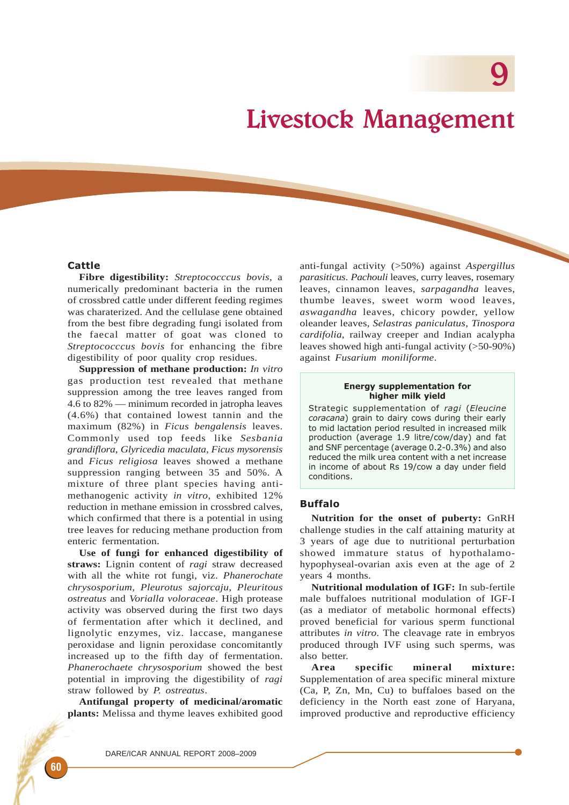# Livestock Management

# **Cattle**

**Fibre digestibility:** *Streptococccus bovis*, a numerically predominant bacteria in the rumen of crossbred cattle under different feeding regimes was charaterized. And the cellulase gene obtained from the best fibre degrading fungi isolated from the faecal matter of goat was cloned to *Streptococccus bovis* for enhancing the fibre digestibility of poor quality crop residues.

**Suppression of methane production:** *In vitro* gas production test revealed that methane suppression among the tree leaves ranged from 4.6 to 82% — minimum recorded in jatropha leaves (4.6%) that contained lowest tannin and the maximum (82%) in *Ficus bengalensis* leaves. Commonly used top feeds like *Sesbania grandiflora*, *Glyricedia maculata*, *Ficus mysorensis* and *Ficus religiosa* leaves showed a methane suppression ranging between 35 and 50%. A mixture of three plant species having antimethanogenic activity *in vitro*, exhibited 12% reduction in methane emission in crossbred calves, which confirmed that there is a potential in using tree leaves for reducing methane production from enteric fermentation.

**Use of fungi for enhanced digestibility of straws:** Lignin content of *ragi* straw decreased with all the white rot fungi, viz. *Phanerochate chrysosporium, Pleurotus sajorcaju, Pleuritous ostreatus* and *Vorialla voloraceae*. High protease activity was observed during the first two days of fermentation after which it declined, and lignolytic enzymes, viz. laccase, manganese peroxidase and lignin peroxidase concomitantly increased up to the fifth day of fermentation. *Phanerochaete chrysosporium* showed the best potential in improving the digestibility of *ragi* straw followed by *P. ostreatus*.

**Antifungal property of medicinal/aromatic plants:** Melissa and thyme leaves exhibited good anti-fungal activity (>50%) against *Aspergillus parasiticus*. *Pachouli* leaves, curry leaves, rosemary leaves, cinnamon leaves, *sarpagandha* leaves, thumbe leaves, sweet worm wood leaves, *aswagandha* leaves, chicory powder, yellow oleander leaves, *Selastras paniculatus*, *Tinospora cardifolia*, railway creeper and Indian acalypha leaves showed high anti-fungal activity (>50-90%) against *Fusarium moniliforme*.

#### Energy supplementation for higher milk yield

Strategic supplementation of ragi (Eleucine coracana) grain to dairy cows during their early to mid lactation period resulted in increased milk production (average 1.9 litre/cow/day) and fat and SNF percentage (average 0.2-0.3%) and also reduced the milk urea content with a net increase in income of about Rs 19/cow a day under field conditions.

### Buffalo

**Nutrition for the onset of puberty:** GnRH challenge studies in the calf attaining maturity at 3 years of age due to nutritional perturbation showed immature status of hypothalamohypophyseal-ovarian axis even at the age of 2 years 4 months.

**Nutritional modulation of IGF:** In sub-fertile male buffaloes nutritional modulation of IGF-I (as a mediator of metabolic hormonal effects) proved beneficial for various sperm functional attributes *in vitro*. The cleavage rate in embryos produced through IVF using such sperms, was also better.

**Area specific mineral mixture:** Supplementation of area specific mineral mixture (Ca, P, Zn, Mn, Cu) to buffaloes based on the deficiency in the North east zone of Haryana, improved productive and reproductive efficiency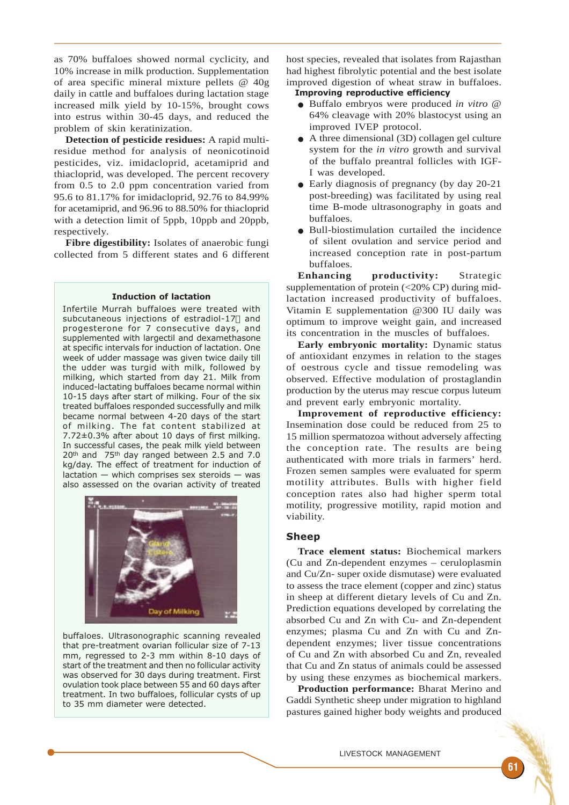as 70% buffaloes showed normal cyclicity, and 10% increase in milk production. Supplementation of area specific mineral mixture pellets @ 40g daily in cattle and buffaloes during lactation stage increased milk yield by 10-15%, brought cows into estrus within 30-45 days, and reduced the problem of skin keratinization.

**Detection of pesticide residues:** A rapid multiresidue method for analysis of neonicotinoid pesticides, viz. imidacloprid, acetamiprid and thiacloprid, was developed. The percent recovery from 0.5 to 2.0 ppm concentration varied from 95.6 to 81.17% for imidacloprid, 92.76 to 84.99% for acetamiprid, and 96.96 to 88.50% for thiacloprid with a detection limit of 5ppb, 10ppb and 20ppb, respectively.

**Fibre digestibility:** Isolates of anaerobic fungi collected from 5 different states and 6 different

#### Induction of lactation

Infertile Murrah buffaloes were treated with subcutaneous injections of estradiol-17 $\Box$  and progesterone for 7 consecutive days, and supplemented with largectil and dexamethasone at specific intervals for induction of lactation. One week of udder massage was given twice daily till the udder was turgid with milk, followed by milking, which started from day 21. Milk from induced-lactating buffaloes became normal within 10-15 days after start of milking. Four of the six treated buffaloes responded successfully and milk became normal between 4-20 days of the start of milking. The fat content stabilized at 7.72±0.3% after about 10 days of first milking. In successful cases, the peak milk yield between 20<sup>th</sup> and 75<sup>th</sup> day ranged between 2.5 and 7.0 kg/day. The effect of treatment for induction of  $lactation$  — which comprises sex steroids — was also assessed on the ovarian activity of treated



buffaloes. Ultrasonographic scanning revealed that pre-treatment ovarian follicular size of 7-13 mm, regressed to 2-3 mm within 8-10 days of start of the treatment and then no follicular activity was observed for 30 days during treatment. First ovulation took place between 55 and 60 days after treatment. In two buffaloes, follicular cysts of up to 35 mm diameter were detected.

host species, revealed that isolates from Rajasthan had highest fibrolytic potential and the best isolate improved digestion of wheat straw in buffaloes.

# Improving reproductive efficiency

- Buffalo embryos were produced *in vitro* @ 64% cleavage with 20% blastocyst using an improved IVEP protocol.
- A three dimensional (3D) collagen gel culture system for the *in vitro* growth and survival of the buffalo preantral follicles with IGF-I was developed.
- Early diagnosis of pregnancy (by day 20-21) post-breeding) was facilitated by using real time B-mode ultrasonography in goats and buffaloes.
- Bull-biostimulation curtailed the incidence of silent ovulation and service period and increased conception rate in post-partum buffaloes.

**Enhancing productivity:** Strategic supplementation of protein  $\left( \langle 20\% \text{ CP} \rangle \right)$  during midlactation increased productivity of buffaloes. Vitamin E supplementation @300 IU daily was optimum to improve weight gain, and increased its concentration in the muscles of buffaloes.

**Early embryonic mortality:** Dynamic status of antioxidant enzymes in relation to the stages of oestrous cycle and tissue remodeling was observed. Effective modulation of prostaglandin production by the uterus may rescue corpus luteum and prevent early embryonic mortality.

**Improvement of reproductive efficiency:** Insemination dose could be reduced from 25 to 15 million spermatozoa without adversely affecting the conception rate. The results are being authenticated with more trials in farmers' herd. Frozen semen samples were evaluated for sperm motility attributes. Bulls with higher field conception rates also had higher sperm total motility, progressive motility, rapid motion and viability.

## Sheep

**Trace element status:** Biochemical markers (Cu and Zn-dependent enzymes – ceruloplasmin and Cu/Zn- super oxide dismutase) were evaluated to assess the trace element (copper and zinc) status in sheep at different dietary levels of Cu and Zn. Prediction equations developed by correlating the absorbed Cu and Zn with Cu- and Zn-dependent enzymes; plasma Cu and Zn with Cu and Zndependent enzymes; liver tissue concentrations of Cu and Zn with absorbed Cu and Zn, revealed that Cu and Zn status of animals could be assessed by using these enzymes as biochemical markers.

**Production performance:** Bharat Merino and Gaddi Synthetic sheep under migration to highland pastures gained higher body weights and produced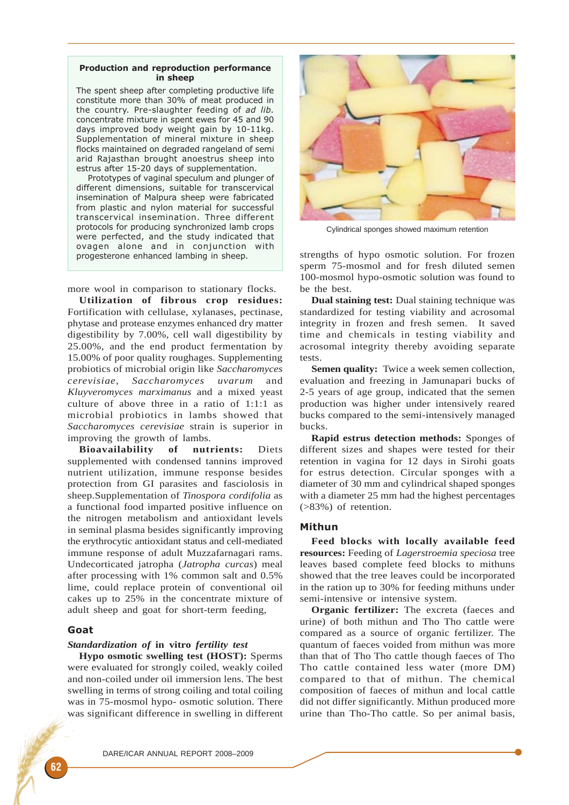## Production and reproduction performance in sheep

The spent sheep after completing productive life constitute more than 30% of meat produced in the country. Pre-slaughter feeding of ad lib. concentrate mixture in spent ewes for 45 and 90 days improved body weight gain by 10-11kg. Supplementation of mineral mixture in sheep flocks maintained on degraded rangeland of semi arid Rajasthan brought anoestrus sheep into estrus after 15-20 days of supplementation.

Prototypes of vaginal speculum and plunger of different dimensions, suitable for transcervical insemination of Malpura sheep were fabricated from plastic and nylon material for successful transcervical insemination. Three different protocols for producing synchronized lamb crops were perfected, and the study indicated that ovagen alone and in conjunction with progesterone enhanced lambing in sheep.

more wool in comparison to stationary flocks.

**Utilization of fibrous crop residues:** Fortification with cellulase, xylanases, pectinase, phytase and protease enzymes enhanced dry matter digestibility by 7.00%, cell wall digestibility by 25.00%, and the end product fermentation by 15.00% of poor quality roughages. Supplementing probiotics of microbial origin like *Saccharomyces cerevisiae*, *Saccharomyces uvarum* and *Kluyveromyces marximanus* and a mixed yeast culture of above three in a ratio of 1:1:1 as microbial probiotics in lambs showed that *Saccharomyces cerevisiae* strain is superior in improving the growth of lambs.

**Bioavailability of nutrients:** Diets supplemented with condensed tannins improved nutrient utilization, immune response besides protection from GI parasites and fasciolosis in sheep.Supplementation of *Tinospora cordifolia* as a functional food imparted positive influence on the nitrogen metabolism and antioxidant levels in seminal plasma besides significantly improving the erythrocytic antioxidant status and cell-mediated immune response of adult Muzzafarnagari rams. Undecorticated jatropha (*Jatropha curcas*) meal after processing with 1% common salt and 0.5% lime, could replace protein of conventional oil cakes up to 25% in the concentrate mixture of adult sheep and goat for short-term feeding,

## Goat

## *Standardization of* **in vitro** *fertility test*

**Hypo osmotic swelling test (HOST):** Sperms were evaluated for strongly coiled, weakly coiled and non-coiled under oil immersion lens. The best swelling in terms of strong coiling and total coiling was in 75-mosmol hypo- osmotic solution. There was significant difference in swelling in different



Cylindrical sponges showed maximum retention

strengths of hypo osmotic solution. For frozen sperm 75-mosmol and for fresh diluted semen 100-mosmol hypo-osmotic solution was found to be the best.

**Dual staining test:** Dual staining technique was standardized for testing viability and acrosomal integrity in frozen and fresh semen. It saved time and chemicals in testing viability and acrosomal integrity thereby avoiding separate tests.

**Semen quality:** Twice a week semen collection, evaluation and freezing in Jamunapari bucks of 2-5 years of age group, indicated that the semen production was higher under intensively reared bucks compared to the semi-intensively managed bucks.

**Rapid estrus detection methods:** Sponges of different sizes and shapes were tested for their retention in vagina for 12 days in Sirohi goats for estrus detection. Circular sponges with a diameter of 30 mm and cylindrical shaped sponges with a diameter 25 mm had the highest percentages (>83%) of retention.

## Mithun

**Feed blocks with locally available feed resources:** Feeding of *Lagerstroemia speciosa* tree leaves based complete feed blocks to mithuns showed that the tree leaves could be incorporated in the ration up to 30% for feeding mithuns under semi-intensive or intensive system.

**Organic fertilizer:** The excreta (faeces and urine) of both mithun and Tho Tho cattle were compared as a source of organic fertilizer. The quantum of faeces voided from mithun was more than that of Tho Tho cattle though faeces of Tho Tho cattle contained less water (more DM) compared to that of mithun. The chemical composition of faeces of mithun and local cattle did not differ significantly. Mithun produced more urine than Tho-Tho cattle. So per animal basis,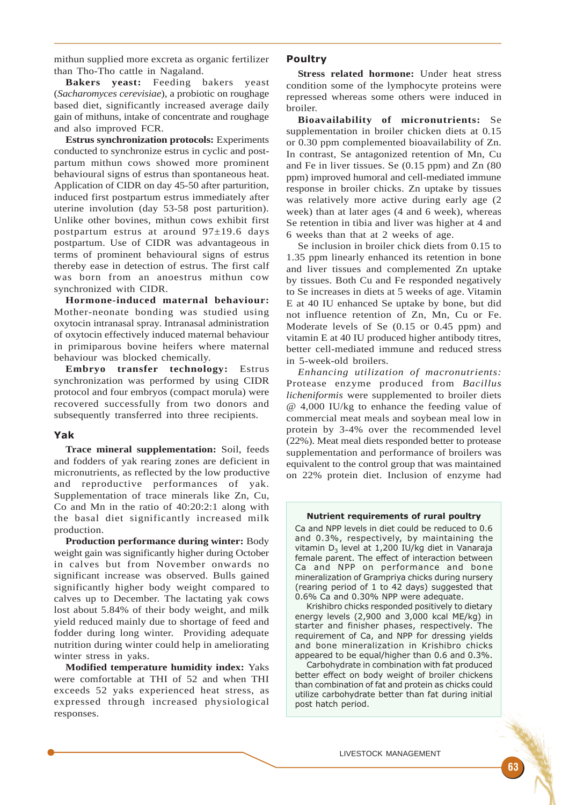mithun supplied more excreta as organic fertilizer than Tho-Tho cattle in Nagaland.

**Bakers yeast:** Feeding bakers yeast (*Sacharomyces cerevisiae*), a probiotic on roughage based diet, significantly increased average daily gain of mithuns, intake of concentrate and roughage and also improved FCR.

**Estrus synchronization protocols:** Experiments conducted to synchronize estrus in cyclic and postpartum mithun cows showed more prominent behavioural signs of estrus than spontaneous heat. Application of CIDR on day 45-50 after parturition, induced first postpartum estrus immediately after uterine involution (day 53-58 post parturition). Unlike other bovines, mithun cows exhibit first postpartum estrus at around 97±19.6 days postpartum. Use of CIDR was advantageous in terms of prominent behavioural signs of estrus thereby ease in detection of estrus. The first calf was born from an anoestrus mithun cow synchronized with CIDR.

**Hormone-induced maternal behaviour:** Mother-neonate bonding was studied using oxytocin intranasal spray. Intranasal administration of oxytocin effectively induced maternal behaviour in primiparous bovine heifers where maternal behaviour was blocked chemically.

**Embryo transfer technology:** Estrus synchronization was performed by using CIDR protocol and four embryos (compact morula) were recovered successfully from two donors and subsequently transferred into three recipients.

# Yak

**Trace mineral supplementation:** Soil, feeds and fodders of yak rearing zones are deficient in micronutrients, as reflected by the low productive and reproductive performances of yak. Supplementation of trace minerals like Zn, Cu, Co and Mn in the ratio of 40:20:2:1 along with the basal diet significantly increased milk production.

**Production performance during winter:** Body weight gain was significantly higher during October in calves but from November onwards no significant increase was observed. Bulls gained significantly higher body weight compared to calves up to December. The lactating yak cows lost about 5.84% of their body weight, and milk yield reduced mainly due to shortage of feed and fodder during long winter. Providing adequate nutrition during winter could help in ameliorating winter stress in yaks.

**Modified temperature humidity index:** Yaks were comfortable at THI of 52 and when THI exceeds 52 yaks experienced heat stress, as expressed through increased physiological responses.

## Poultry

**Stress related hormone:** Under heat stress condition some of the lymphocyte proteins were repressed whereas some others were induced in broiler.

**Bioavailability of micronutrients:** Se supplementation in broiler chicken diets at 0.15 or 0.30 ppm complemented bioavailability of Zn. In contrast, Se antagonized retention of Mn, Cu and Fe in liver tissues. Se (0.15 ppm) and Zn (80 ppm) improved humoral and cell-mediated immune response in broiler chicks. Zn uptake by tissues was relatively more active during early age (2 week) than at later ages (4 and 6 week), whereas Se retention in tibia and liver was higher at 4 and 6 weeks than that at 2 weeks of age.

Se inclusion in broiler chick diets from 0.15 to 1.35 ppm linearly enhanced its retention in bone and liver tissues and complemented Zn uptake by tissues. Both Cu and Fe responded negatively to Se increases in diets at 5 weeks of age. Vitamin E at 40 IU enhanced Se uptake by bone, but did not influence retention of Zn, Mn, Cu or Fe. Moderate levels of Se (0.15 or 0.45 ppm) and vitamin E at 40 IU produced higher antibody titres, better cell-mediated immune and reduced stress in 5-week-old broilers.

*Enhancing utilization of macronutrients:* Protease enzyme produced from *Bacillus licheniformis* were supplemented to broiler diets @ 4,000 IU/kg to enhance the feeding value of commercial meat meals and soybean meal low in protein by 3-4% over the recommended level (22%). Meat meal diets responded better to protease supplementation and performance of broilers was equivalent to the control group that was maintained on 22% protein diet. Inclusion of enzyme had

#### Nutrient requirements of rural poultry

Ca and NPP levels in diet could be reduced to 0.6 and 0.3%, respectively, by maintaining the vitamin D<sub>3</sub> level at 1,200 IU/kg diet in Vanaraja female parent. The effect of interaction between Ca and NPP on performance and bone mineralization of Grampriya chicks during nursery (rearing period of 1 to 42 days) suggested that 0.6% Ca and 0.30% NPP were adequate.

Krishibro chicks responded positively to dietary energy levels (2,900 and 3,000 kcal ME/kg) in starter and finisher phases, respectively. The requirement of Ca, and NPP for dressing yields and bone mineralization in Krishibro chicks appeared to be equal/higher than 0.6 and 0.3%.

Carbohydrate in combination with fat produced better effect on body weight of broiler chickens than combination of fat and protein as chicks could utilize carbohydrate better than fat during initial post hatch period.

LIVESTOCK MANAGEMENT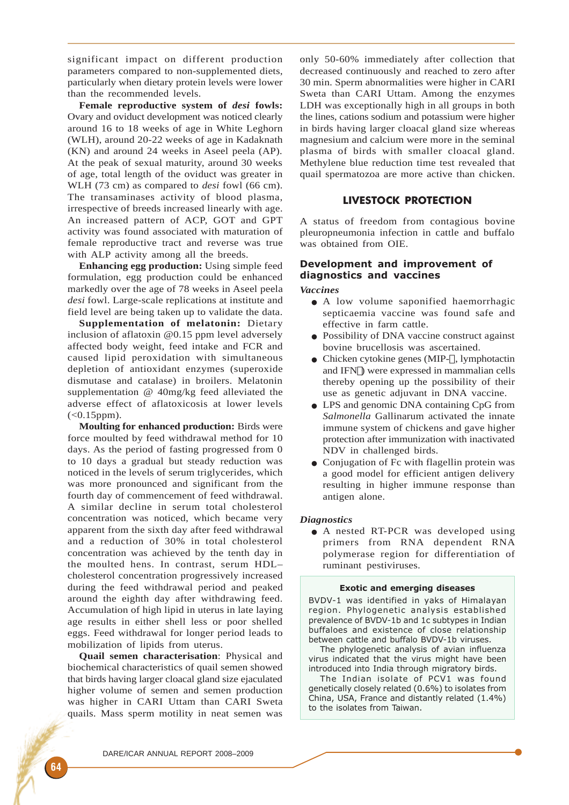significant impact on different production parameters compared to non-supplemented diets, particularly when dietary protein levels were lower than the recommended levels.

**Female reproductive system of** *desi* **fowls:** Ovary and oviduct development was noticed clearly around 16 to 18 weeks of age in White Leghorn (WLH), around 20-22 weeks of age in Kadaknath (KN) and around 24 weeks in Aseel peela (AP). At the peak of sexual maturity, around 30 weeks of age, total length of the oviduct was greater in WLH (73 cm) as compared to *desi* fowl (66 cm). The transaminases activity of blood plasma, irrespective of breeds increased linearly with age. An increased pattern of ACP, GOT and GPT activity was found associated with maturation of female reproductive tract and reverse was true with ALP activity among all the breeds.

**Enhancing egg production:** Using simple feed formulation, egg production could be enhanced markedly over the age of 78 weeks in Aseel peela *desi* fowl. Large-scale replications at institute and field level are being taken up to validate the data.

**Supplementation of melatonin:** Dietary inclusion of aflatoxin @0.15 ppm level adversely affected body weight, feed intake and FCR and caused lipid peroxidation with simultaneous depletion of antioxidant enzymes (superoxide dismutase and catalase) in broilers. Melatonin supplementation @ 40mg/kg feed alleviated the adverse effect of aflatoxicosis at lower levels  $(<0.15$ ppm).

**Moulting for enhanced production:** Birds were force moulted by feed withdrawal method for 10 days. As the period of fasting progressed from 0 to 10 days a gradual but steady reduction was noticed in the levels of serum triglycerides, which was more pronounced and significant from the fourth day of commencement of feed withdrawal. A similar decline in serum total cholesterol concentration was noticed, which became very apparent from the sixth day after feed withdrawal and a reduction of 30% in total cholesterol concentration was achieved by the tenth day in the moulted hens. In contrast, serum HDL– cholesterol concentration progressively increased during the feed withdrawal period and peaked around the eighth day after withdrawing feed. Accumulation of high lipid in uterus in late laying age results in either shell less or poor shelled eggs. Feed withdrawal for longer period leads to mobilization of lipids from uterus.

**Quail semen characterisation**: Physical and biochemical characteristics of quail semen showed that birds having larger cloacal gland size ejaculated higher volume of semen and semen production was higher in CARI Uttam than CARI Sweta quails. Mass sperm motility in neat semen was

only 50-60% immediately after collection that decreased continuously and reached to zero after 30 min. Sperm abnormalities were higher in CARI Sweta than CARI Uttam. Among the enzymes LDH was exceptionally high in all groups in both the lines, cations sodium and potassium were higher in birds having larger cloacal gland size whereas magnesium and calcium were more in the seminal plasma of birds with smaller cloacal gland. Methylene blue reduction time test revealed that quail spermatozoa are more active than chicken.

# LIVESTOCK PROTECTION

A status of freedom from contagious bovine pleuropneumonia infection in cattle and buffalo was obtained from OIE.

# Development and improvement of diagnostics and vaccines

*Vaccines*

- A low volume saponified haemorrhagic septicaemia vaccine was found safe and effective in farm cattle.
- Possibility of DNA vaccine construct against bovine brucellosis was ascertained.
- Chicken cytokine genes (MIP- $\neg$ , lymphotactin and IFN $\Box$ ) were expressed in mammalian cells thereby opening up the possibility of their use as genetic adjuvant in DNA vaccine.
- LPS and genomic DNA containing CpG from *Salmonella* Gallinarum activated the innate immune system of chickens and gave higher protection after immunization with inactivated NDV in challenged birds.
- Conjugation of Fc with flagellin protein was a good model for efficient antigen delivery resulting in higher immune response than antigen alone.

### *Diagnostics*

• A nested RT-PCR was developed using primers from RNA dependent RNA polymerase region for differentiation of ruminant pestiviruses.

#### Exotic and emerging diseases

BVDV-1 was identified in yaks of Himalayan region. Phylogenetic analysis established prevalence of BVDV-1b and 1c subtypes in Indian buffaloes and existence of close relationship between cattle and buffalo BVDV-1b viruses.

The phylogenetic analysis of avian influenza virus indicated that the virus might have been introduced into India through migratory birds.

The Indian isolate of PCV1 was found genetically closely related (0.6%) to isolates from China, USA, France and distantly related (1.4%) to the isolates from Taiwan.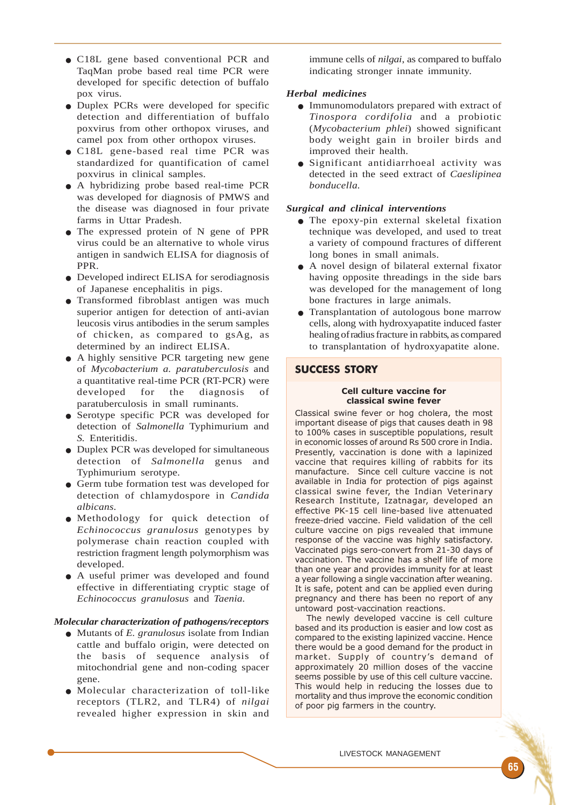- C18L gene based conventional PCR and TaqMan probe based real time PCR were developed for specific detection of buffalo pox virus.
- Duplex PCRs were developed for specific detection and differentiation of buffalo poxvirus from other orthopox viruses, and camel pox from other orthopox viruses.
- C18L gene-based real time PCR was standardized for quantification of camel poxvirus in clinical samples.
- A hybridizing probe based real-time PCR was developed for diagnosis of PMWS and the disease was diagnosed in four private farms in Uttar Pradesh.
- The expressed protein of N gene of PPR virus could be an alternative to whole virus antigen in sandwich ELISA for diagnosis of PPR.
- Developed indirect ELISA for serodiagnosis of Japanese encephalitis in pigs.
- Transformed fibroblast antigen was much superior antigen for detection of anti-avian leucosis virus antibodies in the serum samples of chicken, as compared to gsAg, as determined by an indirect ELISA.
- A highly sensitive PCR targeting new gene of *Mycobacterium a. paratuberculosis* and a quantitative real-time PCR (RT-PCR) were developed for the diagnosis of paratuberculosis in small ruminants.
- Serotype specific PCR was developed for detection of *Salmonella* Typhimurium and *S.* Enteritidis.
- Duplex PCR was developed for simultaneous detection of *Salmonella* genus and Typhimurium serotype.
- Germ tube formation test was developed for detection of chlamydospore in *Candida albicans.*
- Methodology for quick detection of *Echinococcus granulosus* genotypes by polymerase chain reaction coupled with restriction fragment length polymorphism was developed.
- A useful primer was developed and found effective in differentiating cryptic stage of *Echinococcus granulosus* and *Taenia.*

## *Molecular characterization of pathogens/receptors*

- Mutants of *E. granulosus* isolate from Indian cattle and buffalo origin, were detected on the basis of sequence analysis of mitochondrial gene and non-coding spacer gene.
- Molecular characterization of toll-like receptors (TLR2, and TLR4) of *nilgai* revealed higher expression in skin and

immune cells of *nilgai*, as compared to buffalo indicating stronger innate immunity.

## *Herbal medicines*

- Immunomodulators prepared with extract of *Tinospora cordifolia* and a probiotic (*Mycobacterium phlei*) showed significant body weight gain in broiler birds and improved their health.
- Significant antidiarrhoeal activity was detected in the seed extract of *Caeslipinea bonducella.*

## *Surgical and clinical interventions*

- The epoxy-pin external skeletal fixation technique was developed, and used to treat a variety of compound fractures of different long bones in small animals.
- A novel design of bilateral external fixator having opposite threadings in the side bars was developed for the management of long bone fractures in large animals.
- Transplantation of autologous bone marrow cells, along with hydroxyapatite induced faster healing of radius fracture in rabbits, as compared to transplantation of hydroxyapatite alone.

## SUCCESS STORY

#### Cell culture vaccine for classical swine fever

Classical swine fever or hog cholera, the most important disease of pigs that causes death in 98 to 100% cases in susceptible populations, result in economic losses of around Rs 500 crore in India. Presently, vaccination is done with a lapinized vaccine that requires killing of rabbits for its manufacture. Since cell culture vaccine is not available in India for protection of pigs against classical swine fever, the Indian Veterinary Research Institute, Izatnagar, developed an effective PK-15 cell line-based live attenuated freeze-dried vaccine. Field validation of the cell culture vaccine on pigs revealed that immune response of the vaccine was highly satisfactory. Vaccinated pigs sero-convert from 21-30 days of vaccination. The vaccine has a shelf life of more than one year and provides immunity for at least a year following a single vaccination after weaning. It is safe, potent and can be applied even during pregnancy and there has been no report of any untoward post-vaccination reactions.

The newly developed vaccine is cell culture based and its production is easier and low cost as compared to the existing lapinized vaccine. Hence there would be a good demand for the product in market. Supply of country's demand of approximately 20 million doses of the vaccine seems possible by use of this cell culture vaccine. This would help in reducing the losses due to mortality and thus improve the economic condition of poor pig farmers in the country.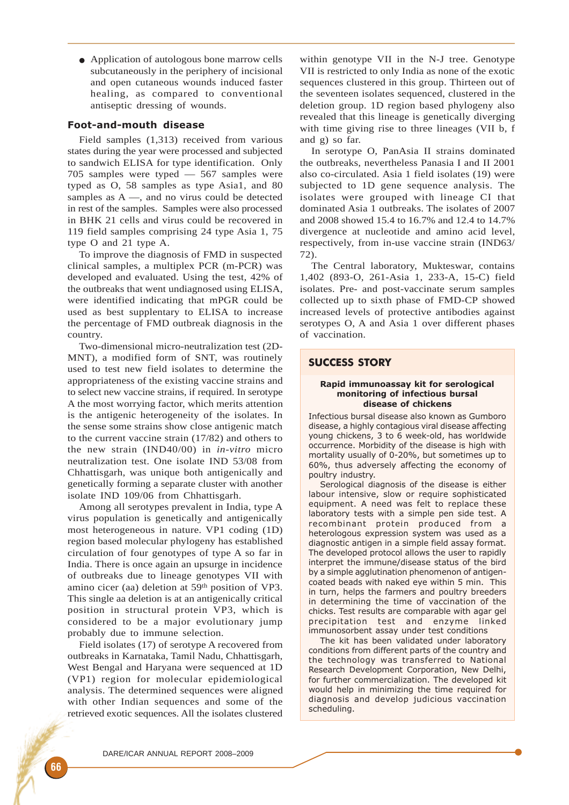● Application of autologous bone marrow cells subcutaneously in the periphery of incisional and open cutaneous wounds induced faster healing, as compared to conventional antiseptic dressing of wounds.

# Foot-and-mouth disease

Field samples (1,313) received from various states during the year were processed and subjected to sandwich ELISA for type identification. Only 705 samples were typed — 567 samples were typed as O, 58 samples as type Asia1, and 80 samples as A —, and no virus could be detected in rest of the samples. Samples were also processed in BHK 21 cells and virus could be recovered in 119 field samples comprising 24 type Asia 1, 75 type O and 21 type A.

To improve the diagnosis of FMD in suspected clinical samples, a multiplex PCR (m-PCR) was developed and evaluated. Using the test, 42% of the outbreaks that went undiagnosed using ELISA, were identified indicating that mPGR could be used as best supplentary to ELISA to increase the percentage of FMD outbreak diagnosis in the country.

Two-dimensional micro-neutralization test (2D-MNT), a modified form of SNT, was routinely used to test new field isolates to determine the appropriateness of the existing vaccine strains and to select new vaccine strains, if required. In serotype A the most worrying factor, which merits attention is the antigenic heterogeneity of the isolates. In the sense some strains show close antigenic match to the current vaccine strain (17/82) and others to the new strain (IND40/00) in *in-vitro* micro neutralization test. One isolate IND 53/08 from Chhattisgarh, was unique both antigenically and genetically forming a separate cluster with another isolate IND 109/06 from Chhattisgarh.

Among all serotypes prevalent in India, type A virus population is genetically and antigenically most heterogeneous in nature. VP1 coding (1D) region based molecular phylogeny has established circulation of four genotypes of type A so far in India. There is once again an upsurge in incidence of outbreaks due to lineage genotypes VII with amino cicer (aa) deletion at 59th position of VP3. This single aa deletion is at an antigenically critical position in structural protein VP3, which is considered to be a major evolutionary jump probably due to immune selection.

Field isolates (17) of serotype A recovered from outbreaks in Karnataka, Tamil Nadu, Chhattisgarh, West Bengal and Haryana were sequenced at 1D (VP1) region for molecular epidemiological analysis. The determined sequences were aligned with other Indian sequences and some of the retrieved exotic sequences. All the isolates clustered

within genotype VII in the N-J tree. Genotype VII is restricted to only India as none of the exotic sequences clustered in this group. Thirteen out of the seventeen isolates sequenced, clustered in the deletion group. 1D region based phylogeny also revealed that this lineage is genetically diverging with time giving rise to three lineages (VII b, f and g) so far.

In serotype O, PanAsia II strains dominated the outbreaks, nevertheless Panasia I and II 2001 also co-circulated. Asia 1 field isolates (19) were subjected to 1D gene sequence analysis. The isolates were grouped with lineage CI that dominated Asia 1 outbreaks. The isolates of 2007 and 2008 showed 15.4 to 16.7% and 12.4 to 14.7% divergence at nucleotide and amino acid level, respectively, from in-use vaccine strain (IND63/ 72).

The Central laboratory, Mukteswar, contains 1,402 (893-O, 261-Asia 1, 233-A, 15-C) field isolates. Pre- and post-vaccinate serum samples collected up to sixth phase of FMD-CP showed increased levels of protective antibodies against serotypes O, A and Asia 1 over different phases of vaccination.

# SUCCESS STORY

#### Rapid immunoassay kit for serological monitoring of infectious bursal disease of chickens

Infectious bursal disease also known as Gumboro disease, a highly contagious viral disease affecting young chickens, 3 to 6 week-old, has worldwide occurrence. Morbidity of the disease is high with mortality usually of 0-20%, but sometimes up to 60%, thus adversely affecting the economy of poultry industry.

Serological diagnosis of the disease is either labour intensive, slow or require sophisticated equipment. A need was felt to replace these laboratory tests with a simple pen side test. A recombinant protein produced from a heterologous expression system was used as a diagnostic antigen in a simple field assay format. The developed protocol allows the user to rapidly interpret the immune/disease status of the bird by a simple agglutination phenomenon of antigencoated beads with naked eye within 5 min. This in turn, helps the farmers and poultry breeders in determining the time of vaccination of the chicks. Test results are comparable with agar gel precipitation test and enzyme linked immunosorbent assay under test conditions

The kit has been validated under laboratory conditions from different parts of the country and the technology was transferred to National Research Development Corporation, New Delhi, for further commercialization. The developed kit would help in minimizing the time required for diagnosis and develop judicious vaccination scheduling.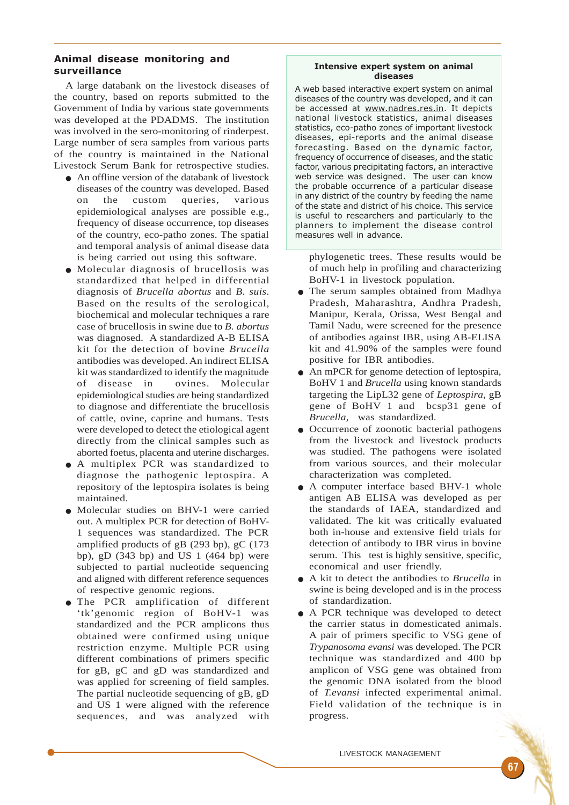# Animal disease monitoring and surveillance

A large databank on the livestock diseases of the country, based on reports submitted to the Government of India by various state governments was developed at the PDADMS. The institution was involved in the sero-monitoring of rinderpest. Large number of sera samples from various parts of the country is maintained in the National Livestock Serum Bank for retrospective studies.

- An offline version of the databank of livestock diseases of the country was developed. Based on the custom queries, various epidemiological analyses are possible e.g., frequency of disease occurrence, top diseases of the country, eco-patho zones. The spatial and temporal analysis of animal disease data is being carried out using this software.
- Molecular diagnosis of brucellosis was standardized that helped in differential diagnosis of *Brucella abortus* and *B. suis*. Based on the results of the serological, biochemical and molecular techniques a rare case of brucellosis in swine due to *B. abortus* was diagnosed. A standardized A-B ELISA kit for the detection of bovine *Brucella* antibodies was developed. An indirect ELISA kit was standardized to identify the magnitude of disease in ovines. Molecular epidemiological studies are being standardized to diagnose and differentiate the brucellosis of cattle, ovine, caprine and humans. Tests were developed to detect the etiological agent directly from the clinical samples such as aborted foetus, placenta and uterine discharges.
- A multiplex PCR was standardized to diagnose the pathogenic leptospira. A repository of the leptospira isolates is being maintained.
- Molecular studies on BHV-1 were carried out. A multiplex PCR for detection of BoHV-1 sequences was standardized. The PCR amplified products of  $gB$  (293 bp),  $gC$  (173 bp), gD  $(343$  bp) and US 1  $(464$  bp) were subjected to partial nucleotide sequencing and aligned with different reference sequences of respective genomic regions.
- The PCR amplification of different 'tk'genomic region of BoHV-1 was standardized and the PCR amplicons thus obtained were confirmed using unique restriction enzyme. Multiple PCR using different combinations of primers specific for gB, gC and gD was standardized and was applied for screening of field samples. The partial nucleotide sequencing of gB, gD and US 1 were aligned with the reference sequences, and was analyzed with

## Intensive expert system on animal diseases

A web based interactive expert system on animal diseases of the country was developed, and it can be accessed at www.nadres.res.in. It depicts national livestock statistics, animal diseases statistics, eco-patho zones of important livestock diseases, epi-reports and the animal disease forecasting. Based on the dynamic factor, frequency of occurrence of diseases, and the static factor, various precipitating factors, an interactive web service was designed. The user can know the probable occurrence of a particular disease in any district of the country by feeding the name of the state and district of his choice. This service is useful to researchers and particularly to the planners to implement the disease control measures well in advance.

phylogenetic trees. These results would be of much help in profiling and characterizing BoHV-1 in livestock population.

- The serum samples obtained from Madhya Pradesh, Maharashtra, Andhra Pradesh, Manipur, Kerala, Orissa, West Bengal and Tamil Nadu, were screened for the presence of antibodies against IBR, using AB-ELISA kit and 41.90% of the samples were found positive for IBR antibodies.
- An mPCR for genome detection of leptospira, BoHV 1 and *Brucella* using known standards targeting the LipL32 gene of *Leptospira*, gB gene of BoHV 1 and bcsp31 gene of *Brucella,* was standardized.
- Occurrence of zoonotic bacterial pathogens from the livestock and livestock products was studied. The pathogens were isolated from various sources, and their molecular characterization was completed.
- A computer interface based BHV-1 whole antigen AB ELISA was developed as per the standards of IAEA, standardized and validated. The kit was critically evaluated both in-house and extensive field trials for detection of antibody to IBR virus in bovine serum. This test is highly sensitive, specific, economical and user friendly.
- A kit to detect the antibodies to *Brucella* in swine is being developed and is in the process of standardization.
- A PCR technique was developed to detect the carrier status in domesticated animals. A pair of primers specific to VSG gene of *Trypanosoma evansi* was developed. The PCR technique was standardized and 400 bp amplicon of VSG gene was obtained from the genomic DNA isolated from the blood of *T.evansi* infected experimental animal. Field validation of the technique is in progress.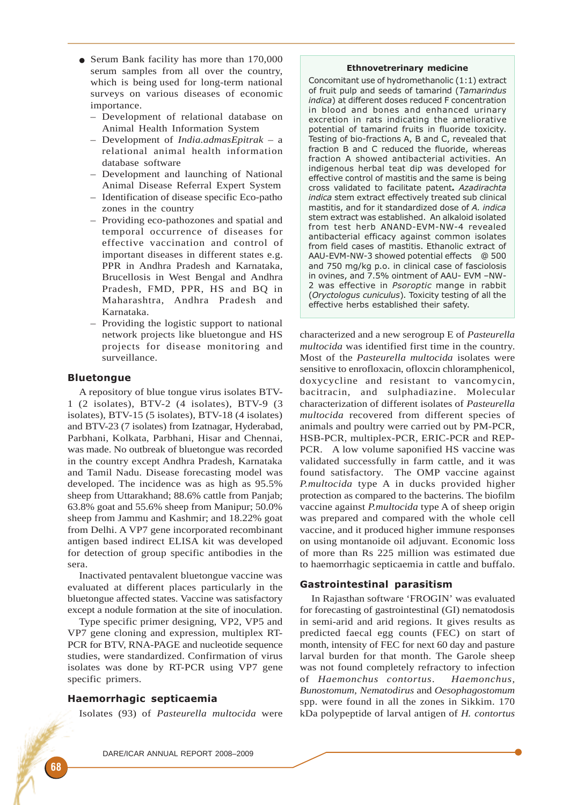- Serum Bank facility has more than 170,000 serum samples from all over the country, which is being used for long-term national surveys on various diseases of economic importance.
	- Development of relational database on Animal Health Information System
	- Development of *India.admasEpitrak* a relational animal health information database software
	- Development and launching of National Animal Disease Referral Expert System
	- Identification of disease specific Eco-patho zones in the country
	- Providing eco-pathozones and spatial and temporal occurrence of diseases for effective vaccination and control of important diseases in different states e.g. PPR in Andhra Pradesh and Karnataka, Brucellosis in West Bengal and Andhra Pradesh, FMD, PPR, HS and BQ in Maharashtra, Andhra Pradesh and Karnataka.
	- Providing the logistic support to national network projects like bluetongue and HS projects for disease monitoring and surveillance.

# Bluetongue

A repository of blue tongue virus isolates BTV-1 (2 isolates), BTV-2 (4 isolates), BTV-9 (3 isolates), BTV-15 (5 isolates), BTV-18 (4 isolates) and BTV-23 (7 isolates) from Izatnagar, Hyderabad, Parbhani, Kolkata, Parbhani, Hisar and Chennai, was made. No outbreak of bluetongue was recorded in the country except Andhra Pradesh, Karnataka and Tamil Nadu. Disease forecasting model was developed. The incidence was as high as 95.5% sheep from Uttarakhand; 88.6% cattle from Panjab; 63.8% goat and 55.6% sheep from Manipur; 50.0% sheep from Jammu and Kashmir; and 18.22% goat from Delhi. A VP7 gene incorporated recombinant antigen based indirect ELISA kit was developed for detection of group specific antibodies in the sera.

Inactivated pentavalent bluetongue vaccine was evaluated at different places particularly in the bluetongue affected states. Vaccine was satisfactory except a nodule formation at the site of inoculation.

Type specific primer designing, VP2, VP5 and VP7 gene cloning and expression, multiplex RT-PCR for BTV, RNA-PAGE and nucleotide sequence studies, were standardized. Confirmation of virus isolates was done by RT-PCR using VP7 gene specific primers.

# Haemorrhagic septicaemia

Isolates (93) of *Pasteurella multocida* were

## Ethnovetrerinary medicine

Concomitant use of hydromethanolic (1:1) extract of fruit pulp and seeds of tamarind (Tamarindus indica) at different doses reduced F concentration in blood and bones and enhanced urinary excretion in rats indicating the ameliorative potential of tamarind fruits in fluoride toxicity. Testing of bio-fractions A, B and C, revealed that fraction B and C reduced the fluoride, whereas fraction A showed antibacterial activities. An indigenous herbal teat dip was developed for effective control of mastitis and the same is being cross validated to facilitate patent. Azadirachta indica stem extract effectively treated sub clinical mastitis, and for it standardized dose of A. indica stem extract was established. An alkaloid isolated from test herb ANAND-EVM-NW-4 revealed antibacterial efficacy against common isolates from field cases of mastitis. Ethanolic extract of AAU-EVM-NW-3 showed potential effects @ 500 and 750 mg/kg p.o. in clinical case of fasciolosis in ovines, and 7.5% ointment of AAU- EVM –NW-2 was effective in Psoroptic mange in rabbit (Oryctologus cuniculus). Toxicity testing of all the effective herbs established their safety.

characterized and a new serogroup E of *Pasteurella multocida* was identified first time in the country. Most of the *Pasteurella multocida* isolates were sensitive to enrofloxacin, ofloxcin chloramphenicol, doxycycline and resistant to vancomycin, bacitracin, and sulphadiazine. Molecular characterization of different isolates of *Pasteurella multocida* recovered from different species of animals and poultry were carried out by PM-PCR, HSB-PCR, multiplex-PCR, ERIC-PCR and REP-PCR. A low volume saponified HS vaccine was validated successfully in farm cattle, and it was found satisfactory. The OMP vaccine against *P.multocida* type A in ducks provided higher protection as compared to the bacterins. The biofilm vaccine against *P.multocida* type A of sheep origin was prepared and compared with the whole cell vaccine, and it produced higher immune responses on using montanoide oil adjuvant. Economic loss of more than Rs 225 million was estimated due to haemorrhagic septicaemia in cattle and buffalo.

## Gastrointestinal parasitism

In Rajasthan software 'FROGIN' was evaluated for forecasting of gastrointestinal (GI) nematodosis in semi-arid and arid regions. It gives results as predicted faecal egg counts (FEC) on start of month, intensity of FEC for next 60 day and pasture larval burden for that month. The Garole sheep was not found completely refractory to infection of *Haemonchus contortus*. *Haemonchus, Bunostomum, Nematodirus* and *Oesophagostomum* spp. were found in all the zones in Sikkim. 170 kDa polypeptide of larval antigen of *H. contortus*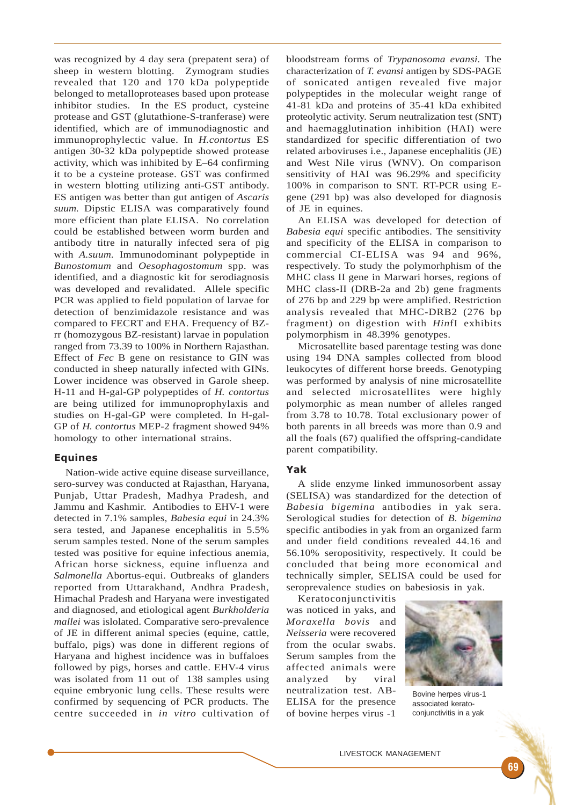was recognized by 4 day sera (prepatent sera) of sheep in western blotting. Zymogram studies revealed that 120 and 170 kDa polypeptide belonged to metalloproteases based upon protease inhibitor studies. In the ES product, cysteine protease and GST (glutathione-S-tranferase) were identified, which are of immunodiagnostic and immunoprophylectic value. In *H.contortus* ES antigen 30-32 kDa polypeptide showed protease activity, which was inhibited by E–64 confirming it to be a cysteine protease. GST was confirmed in western blotting utilizing anti-GST antibody. ES antigen was better than gut antigen of *Ascaris suum.* Dipstic ELISA was comparatively found more efficient than plate ELISA. No correlation could be established between worm burden and antibody titre in naturally infected sera of pig with *A.suum.* Immunodominant polypeptide in *Bunostomum* and *Oesophagostomum* spp. was identified, and a diagnostic kit for serodiagnosis was developed and revalidated. Allele specific PCR was applied to field population of larvae for detection of benzimidazole resistance and was compared to FECRT and EHA. Frequency of BZrr (homozygous BZ-resistant) larvae in population ranged from 73.39 to 100% in Northern Rajasthan. Effect of *Fec* B gene on resistance to GIN was conducted in sheep naturally infected with GINs. Lower incidence was observed in Garole sheep. H-11 and H-gal-GP polypeptides of *H. contortus* are being utilized for immunoprophylaxis and studies on H-gal-GP were completed. In H-gal-GP of *H. contortus* MEP-2 fragment showed 94% homology to other international strains.

## Equines

Nation-wide active equine disease surveillance, sero-survey was conducted at Rajasthan, Haryana, Punjab, Uttar Pradesh, Madhya Pradesh, and Jammu and Kashmir. Antibodies to EHV-1 were detected in 7.1% samples, *Babesia equi* in 24.3% sera tested, and Japanese encephalitis in 5.5% serum samples tested. None of the serum samples tested was positive for equine infectious anemia, African horse sickness, equine influenza and *Salmonella* Abortus-equi. Outbreaks of glanders reported from Uttarakhand, Andhra Pradesh, Himachal Pradesh and Haryana were investigated and diagnosed, and etiological agent *Burkholderia mallei* was islolated. Comparative sero-prevalence of JE in different animal species (equine, cattle, buffalo, pigs) was done in different regions of Haryana and highest incidence was in buffaloes followed by pigs, horses and cattle. EHV-4 virus was isolated from 11 out of 138 samples using equine embryonic lung cells. These results were confirmed by sequencing of PCR products. The centre succeeded in *in vitro* cultivation of

bloodstream forms of *Trypanosoma evansi.* The characterization of *T. evansi* antigen by SDS-PAGE of sonicated antigen revealed five major polypeptides in the molecular weight range of 41-81 kDa and proteins of 35-41 kDa exhibited proteolytic activity. Serum neutralization test (SNT) and haemagglutination inhibition (HAI) were standardized for specific differentiation of two related arboviruses i.e., Japanese encephalitis (JE) and West Nile virus (WNV). On comparison sensitivity of HAI was 96.29% and specificity 100% in comparison to SNT. RT-PCR using Egene (291 bp) was also developed for diagnosis of JE in equines.

An ELISA was developed for detection of *Babesia equi* specific antibodies. The sensitivity and specificity of the ELISA in comparison to commercial CI-ELISA was 94 and 96%, respectively. To study the polymorhphism of the MHC class II gene in Marwari horses, regions of MHC class-II (DRB-2a and 2b) gene fragments of 276 bp and 229 bp were amplified. Restriction analysis revealed that MHC-DRB2 (276 bp fragment) on digestion with *Hin*fI exhibits polymorphism in 48.39% genotypes.

Microsatellite based parentage testing was done using 194 DNA samples collected from blood leukocytes of different horse breeds. Genotyping was performed by analysis of nine microsatellite and selected microsatellites were highly polymorphic as mean number of alleles ranged from 3.78 to 10.78. Total exclusionary power of both parents in all breeds was more than 0.9 and all the foals (67) qualified the offspring-candidate parent compatibility.

## Yak

A slide enzyme linked immunosorbent assay (SELISA) was standardized for the detection of *Babesia bigemina* antibodies in yak sera. Serological studies for detection of *B. bigemina* specific antibodies in yak from an organized farm and under field conditions revealed 44.16 and 56.10% seropositivity, respectively. It could be concluded that being more economical and technically simpler, SELISA could be used for seroprevalence studies on babesiosis in yak.

Keratoconjunctivitis was noticed in yaks, and *Moraxella bovis* and *Neisseria* were recovered from the ocular swabs. Serum samples from the affected animals were analyzed by viral neutralization test. AB-ELISA for the presence of bovine herpes virus -1



Bovine herpes virus-1 associated keratoconjunctivitis in a yak

LIVESTOCK MANAGEMENT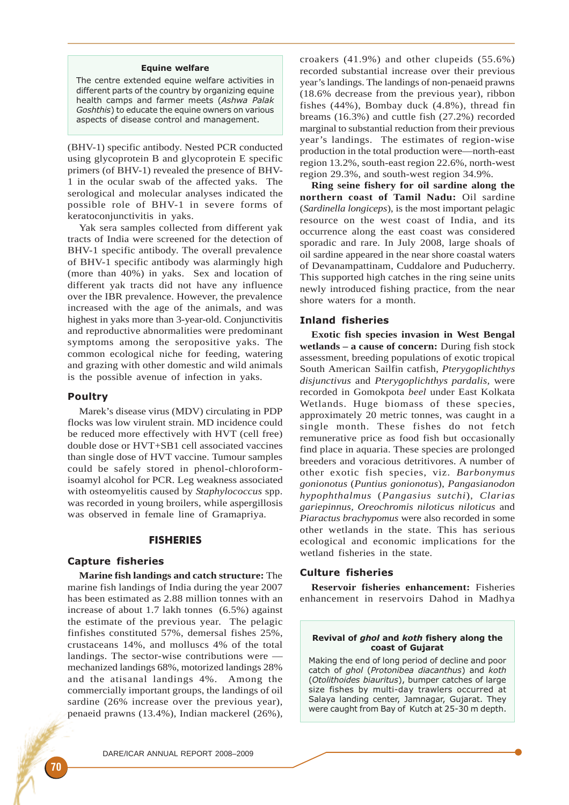#### Equine welfare

The centre extended equine welfare activities in different parts of the country by organizing equine health camps and farmer meets (Ashwa Palak Goshthis) to educate the equine owners on various aspects of disease control and management.

(BHV-1) specific antibody. Nested PCR conducted using glycoprotein B and glycoprotein E specific primers (of BHV-1) revealed the presence of BHV-1 in the ocular swab of the affected yaks. The serological and molecular analyses indicated the possible role of BHV-1 in severe forms of keratoconjunctivitis in yaks.

Yak sera samples collected from different yak tracts of India were screened for the detection of BHV-1 specific antibody. The overall prevalence of BHV-1 specific antibody was alarmingly high (more than 40%) in yaks. Sex and location of different yak tracts did not have any influence over the IBR prevalence. However, the prevalence increased with the age of the animals, and was highest in yaks more than 3-year-old. Conjunctivitis and reproductive abnormalities were predominant symptoms among the seropositive yaks. The common ecological niche for feeding, watering and grazing with other domestic and wild animals is the possible avenue of infection in yaks.

### Poultry

Marek's disease virus (MDV) circulating in PDP flocks was low virulent strain. MD incidence could be reduced more effectively with HVT (cell free) double dose or HVT+SB1 cell associated vaccines than single dose of HVT vaccine. Tumour samples could be safely stored in phenol-chloroformisoamyl alcohol for PCR. Leg weakness associated with osteomyelitis caused by *Staphylococcus* spp. was recorded in young broilers, while aspergillosis was observed in female line of Gramapriya.

## FISHERIES

## Capture fisheries

**Marine fish landings and catch structure:** The marine fish landings of India during the year 2007 has been estimated as 2.88 million tonnes with an increase of about 1.7 lakh tonnes (6.5%) against the estimate of the previous year. The pelagic finfishes constituted 57%, demersal fishes 25%, crustaceans 14%, and molluscs 4% of the total landings. The sector-wise contributions were mechanized landings 68%, motorized landings 28% and the atisanal landings 4%. Among the commercially important groups, the landings of oil sardine (26% increase over the previous year), penaeid prawns (13.4%), Indian mackerel (26%),

croakers (41.9%) and other clupeids (55.6%) recorded substantial increase over their previous year's landings. The landings of non-penaeid prawns (18.6% decrease from the previous year), ribbon fishes (44%), Bombay duck (4.8%), thread fin breams (16.3%) and cuttle fish (27.2%) recorded marginal to substantial reduction from their previous year's landings. The estimates of region-wise production in the total production were—north-east region 13.2%, south-east region 22.6%, north-west region 29.3%, and south-west region 34.9%.

**Ring seine fishery for oil sardine along the northern coast of Tamil Nadu:** Oil sardine (*Sardinella longiceps*), is the most important pelagic resource on the west coast of India, and its occurrence along the east coast was considered sporadic and rare. In July 2008, large shoals of oil sardine appeared in the near shore coastal waters of Devanampattinam, Cuddalore and Puducherry. This supported high catches in the ring seine units newly introduced fishing practice, from the near shore waters for a month.

## Inland fisheries

**Exotic fish species invasion in West Bengal wetlands – a cause of concern:** During fish stock assessment, breeding populations of exotic tropical South American Sailfin catfish, *Pterygoplichthys disjunctivus* and *Pterygoplichthys pardalis,* were recorded in Gomokpota *beel* under East Kolkata Wetlands. Huge biomass of these species, approximately 20 metric tonnes, was caught in a single month. These fishes do not fetch remunerative price as food fish but occasionally find place in aquaria. These species are prolonged breeders and voracious detritivores. A number of other exotic fish species, viz. *Barbonymus gonionotus* (*Puntius gonionotus*), *Pangasianodon hypophthalmus* (*Pangasius sutchi*), *Clarias gariepinnus, Oreochromis niloticus niloticus* and *Piaractus brachypomus* were also recorded in some other wetlands in the state. This has serious ecological and economic implications for the wetland fisheries in the state.

# Culture fisheries

**Reservoir fisheries enhancement:** Fisheries enhancement in reservoirs Dahod in Madhya

#### Revival of ghol and koth fishery along the coast of Gujarat

Making the end of long period of decline and poor catch of ghol (Protonibea diacanthus) and koth (Otolithoides biauritus), bumper catches of large size fishes by multi-day trawlers occurred at Salaya landing center, Jamnagar, Gujarat. They were caught from Bay of Kutch at 25-30 m depth.